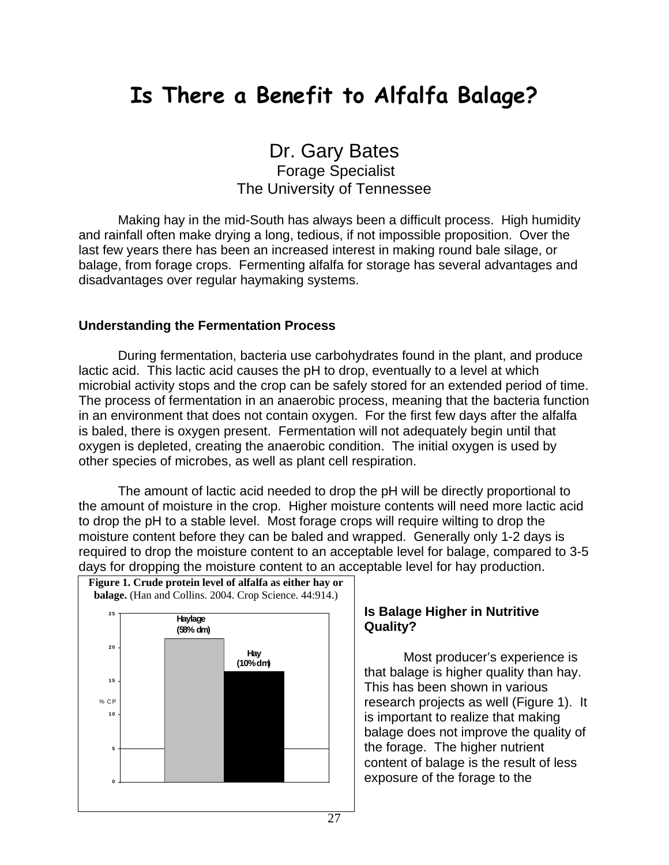## **Is There a Benefit to Alfalfa Balage?**

Dr. Gary Bates Forage Specialist

The University of Tennessee

Making hay in the mid-South has always been a difficult process. High humidity and rainfall often make drying a long, tedious, if not impossible proposition. Over the last few years there has been an increased interest in making round bale silage, or balage, from forage crops. Fermenting alfalfa for storage has several advantages and disadvantages over regular haymaking systems.

## **Understanding the Fermentation Process**

During fermentation, bacteria use carbohydrates found in the plant, and produce lactic acid. This lactic acid causes the pH to drop, eventually to a level at which microbial activity stops and the crop can be safely stored for an extended period of time. The process of fermentation in an anaerobic process, meaning that the bacteria function in an environment that does not contain oxygen. For the first few days after the alfalfa is baled, there is oxygen present. Fermentation will not adequately begin until that oxygen is depleted, creating the anaerobic condition. The initial oxygen is used by other species of microbes, as well as plant cell respiration.

The amount of lactic acid needed to drop the pH will be directly proportional to the amount of moisture in the crop. Higher moisture contents will need more lactic acid to drop the pH to a stable level. Most forage crops will require wilting to drop the moisture content before they can be baled and wrapped. Generally only 1-2 days is required to drop the moisture content to an acceptable level for balage, compared to 3-5 days for dropping the moisture content to an acceptable level for hay production.



## **Is Balage Higher in Nutritive Quality?**

Most producer's experience is that balage is higher quality than hay. This has been shown in various research projects as well (Figure 1). It is important to realize that making balage does not improve the quality of the forage. The higher nutrient content of balage is the result of less exposure of the forage to the